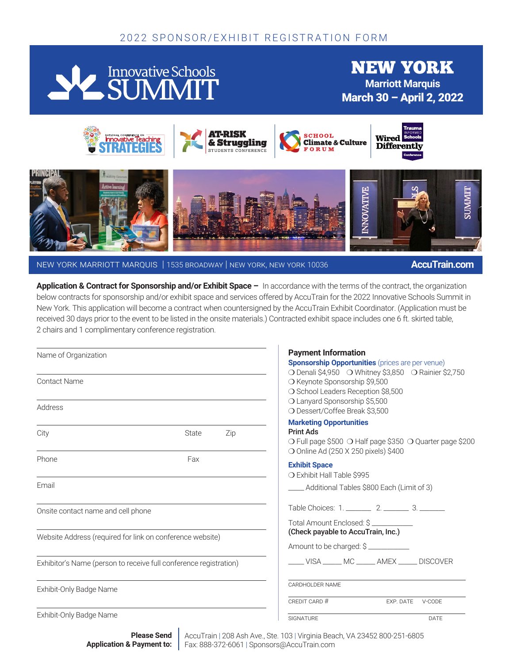# 2022 SPONSOR/EXHIBIT REGISTRATION FORM



new york **Marriott Marquis** March 30 – April 2, 2022



new york marriott marquis | 1535 broadway | new york, new york 10036 **AccuTrain.com**

**Application & Contract for Sponsorship and/or Exhibit Space –** In accordance with the terms of the contract, the organization below contracts for sponsorship and/or exhibit space and services offered by AccuTrain for the 2022 Innovative Schools Summit in New York. This application will become a contract when countersigned by the AccuTrain Exhibit Coordinator. (Application must be received 30 days prior to the event to be listed in the onsite materials.) Contracted exhibit space includes one 6 ft. skirted table, 2 chairs and 1 complimentary conference registration.

| Name of Organization                                      |                                                                   | <b>Payment Information</b><br><b>Sponsorship Opportunities</b> (prices are per venue)                                                                                                                        |                  |
|-----------------------------------------------------------|-------------------------------------------------------------------|--------------------------------------------------------------------------------------------------------------------------------------------------------------------------------------------------------------|------------------|
| <b>Contact Name</b><br>Address                            |                                                                   | ○ Denali \$4,950 ○ Whitney \$3,850 ○ Rainier \$2,750<br>O Keynote Sponsorship \$9,500<br>○ School Leaders Reception \$8,500<br>O Lanyard Sponsorship \$5,500                                                 |                  |
|                                                           |                                                                   | O Dessert/Coffee Break \$3,500                                                                                                                                                                               |                  |
| City                                                      | State<br>Zip                                                      | <b>Marketing Opportunities</b><br><b>Print Ads</b><br>○ Full page \$500 ○ Half page \$350 ○ Quarter page \$200<br>○ Online Ad (250 X 250 pixels) \$400<br><b>Exhibit Space</b><br>O Exhibit Hall Table \$995 |                  |
| Phone                                                     | Fax                                                               |                                                                                                                                                                                                              |                  |
| Email                                                     |                                                                   | ____ Additional Tables \$800 Each (Limit of 3)                                                                                                                                                               |                  |
| Onsite contact name and cell phone                        |                                                                   | Table Choices: 1. ________ 2. _______ 3. _______<br>Total Amount Enclosed: \$                                                                                                                                |                  |
| Website Address (required for link on conference website) |                                                                   | (Check payable to AccuTrain, Inc.)<br>Amount to be charged: \$                                                                                                                                               |                  |
|                                                           | Exhibitor's Name (person to receive full conference registration) | VISA _____ MC _____ AMEX _____ DISCOVER                                                                                                                                                                      |                  |
| Exhibit-Only Badge Name                                   |                                                                   | CARDHOLDER NAME                                                                                                                                                                                              |                  |
|                                                           |                                                                   | CREDIT CARD #                                                                                                                                                                                                | EXP. DATE V-CODE |
| Exhibit-Only Badge Name                                   |                                                                   | SIGNATURE                                                                                                                                                                                                    | DATE             |

AccuTrain | 208 Ash Ave., Ste. 103 | Virginia Beach, VA 23452 800-251-6805 Fax: 888-372-6061 | Sponsors@AccuTrain.com